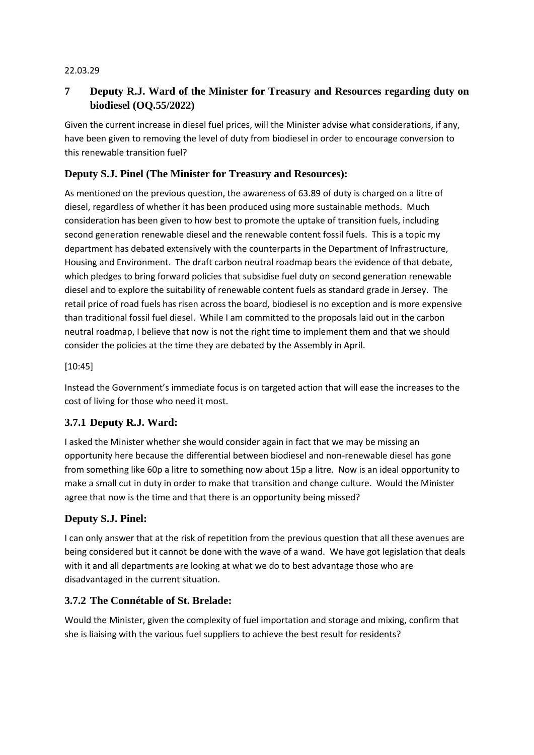#### 22.03.29

# **7 Deputy R.J. Ward of the Minister for Treasury and Resources regarding duty on biodiesel (OQ.55/2022)**

Given the current increase in diesel fuel prices, will the Minister advise what considerations, if any, have been given to removing the level of duty from biodiesel in order to encourage conversion to this renewable transition fuel?

### **Deputy S.J. Pinel (The Minister for Treasury and Resources):**

As mentioned on the previous question, the awareness of 63.89 of duty is charged on a litre of diesel, regardless of whether it has been produced using more sustainable methods. Much consideration has been given to how best to promote the uptake of transition fuels, including second generation renewable diesel and the renewable content fossil fuels. This is a topic my department has debated extensively with the counterparts in the Department of Infrastructure, Housing and Environment. The draft carbon neutral roadmap bears the evidence of that debate, which pledges to bring forward policies that subsidise fuel duty on second generation renewable diesel and to explore the suitability of renewable content fuels as standard grade in Jersey. The retail price of road fuels has risen across the board, biodiesel is no exception and is more expensive than traditional fossil fuel diesel. While I am committed to the proposals laid out in the carbon neutral roadmap, I believe that now is not the right time to implement them and that we should consider the policies at the time they are debated by the Assembly in April.

#### [10:45]

Instead the Government's immediate focus is on targeted action that will ease the increases to the cost of living for those who need it most.

#### **3.7.1 Deputy R.J. Ward:**

I asked the Minister whether she would consider again in fact that we may be missing an opportunity here because the differential between biodiesel and non-renewable diesel has gone from something like 60p a litre to something now about 15p a litre. Now is an ideal opportunity to make a small cut in duty in order to make that transition and change culture. Would the Minister agree that now is the time and that there is an opportunity being missed?

#### **Deputy S.J. Pinel:**

I can only answer that at the risk of repetition from the previous question that all these avenues are being considered but it cannot be done with the wave of a wand. We have got legislation that deals with it and all departments are looking at what we do to best advantage those who are disadvantaged in the current situation.

#### **3.7.2 The Connétable of St. Brelade:**

Would the Minister, given the complexity of fuel importation and storage and mixing, confirm that she is liaising with the various fuel suppliers to achieve the best result for residents?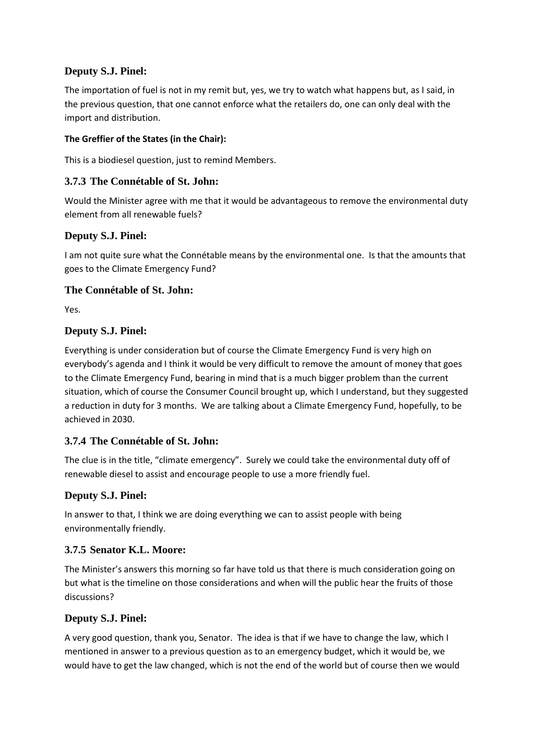## **Deputy S.J. Pinel:**

The importation of fuel is not in my remit but, yes, we try to watch what happens but, as I said, in the previous question, that one cannot enforce what the retailers do, one can only deal with the import and distribution.

#### **The Greffier of the States (in the Chair):**

This is a biodiesel question, just to remind Members.

## **3.7.3 The Connétable of St. John:**

Would the Minister agree with me that it would be advantageous to remove the environmental duty element from all renewable fuels?

## **Deputy S.J. Pinel:**

I am not quite sure what the Connétable means by the environmental one. Is that the amounts that goes to the Climate Emergency Fund?

## **The Connétable of St. John:**

Yes.

## **Deputy S.J. Pinel:**

Everything is under consideration but of course the Climate Emergency Fund is very high on everybody's agenda and I think it would be very difficult to remove the amount of money that goes to the Climate Emergency Fund, bearing in mind that is a much bigger problem than the current situation, which of course the Consumer Council brought up, which I understand, but they suggested a reduction in duty for 3 months. We are talking about a Climate Emergency Fund, hopefully, to be achieved in 2030.

#### **3.7.4 The Connétable of St. John:**

The clue is in the title, "climate emergency". Surely we could take the environmental duty off of renewable diesel to assist and encourage people to use a more friendly fuel.

## **Deputy S.J. Pinel:**

In answer to that, I think we are doing everything we can to assist people with being environmentally friendly.

#### **3.7.5 Senator K.L. Moore:**

The Minister's answers this morning so far have told us that there is much consideration going on but what is the timeline on those considerations and when will the public hear the fruits of those discussions?

## **Deputy S.J. Pinel:**

A very good question, thank you, Senator. The idea is that if we have to change the law, which I mentioned in answer to a previous question as to an emergency budget, which it would be, we would have to get the law changed, which is not the end of the world but of course then we would